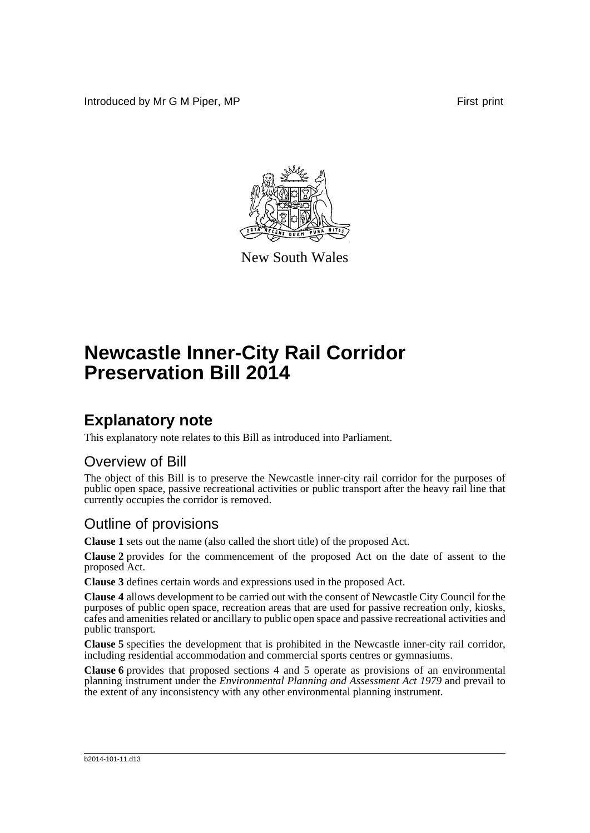Introduced by Mr G M Piper, MP **First** print



New South Wales

# **Newcastle Inner-City Rail Corridor Preservation Bill 2014**

### **Explanatory note**

This explanatory note relates to this Bill as introduced into Parliament.

#### Overview of Bill

The object of this Bill is to preserve the Newcastle inner-city rail corridor for the purposes of public open space, passive recreational activities or public transport after the heavy rail line that currently occupies the corridor is removed.

#### Outline of provisions

**Clause 1** sets out the name (also called the short title) of the proposed Act.

**Clause 2** provides for the commencement of the proposed Act on the date of assent to the proposed Act.

**Clause 3** defines certain words and expressions used in the proposed Act.

**Clause 4** allows development to be carried out with the consent of Newcastle City Council for the purposes of public open space, recreation areas that are used for passive recreation only, kiosks, cafes and amenities related or ancillary to public open space and passive recreational activities and public transport.

**Clause 5** specifies the development that is prohibited in the Newcastle inner-city rail corridor, including residential accommodation and commercial sports centres or gymnasiums.

**Clause 6** provides that proposed sections 4 and 5 operate as provisions of an environmental planning instrument under the *Environmental Planning and Assessment Act 1979* and prevail to the extent of any inconsistency with any other environmental planning instrument.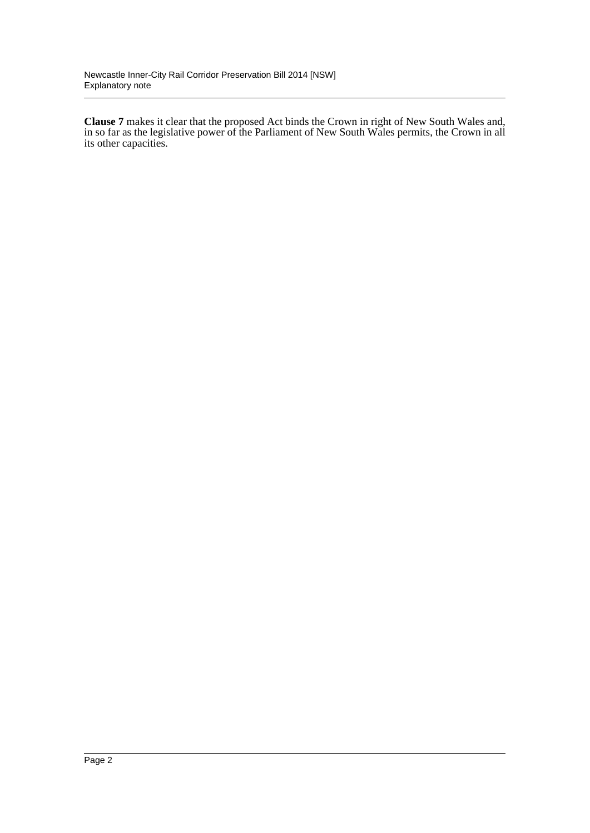**Clause 7** makes it clear that the proposed Act binds the Crown in right of New South Wales and, in so far as the legislative power of the Parliament of New South Wales permits, the Crown in all its other capacities.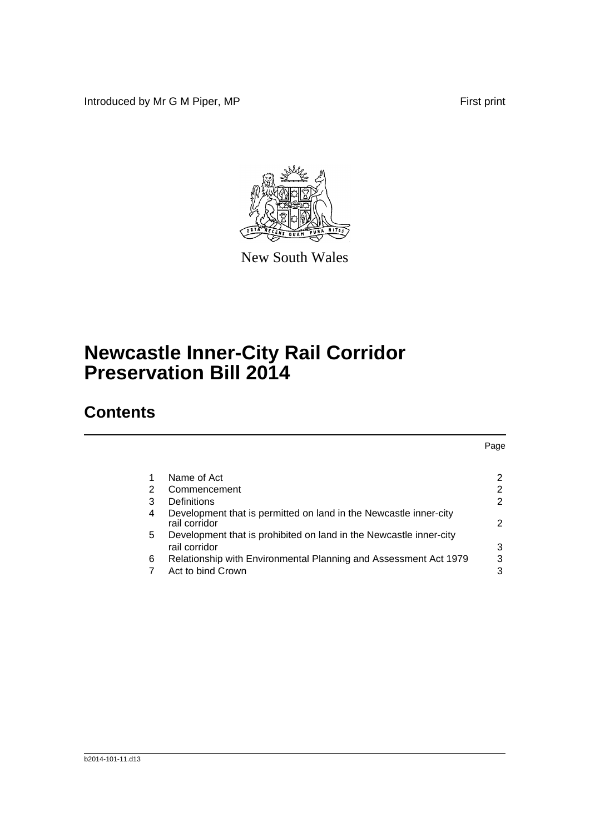Introduced by Mr G M Piper, MP **First** print



New South Wales

# **Newcastle Inner-City Rail Corridor Preservation Bill 2014**

## **Contents**

|   |                                                                                     | Page |
|---|-------------------------------------------------------------------------------------|------|
|   |                                                                                     |      |
| 1 | Name of Act                                                                         | 2    |
| 2 | Commencement                                                                        | 2    |
| 3 | Definitions                                                                         | 2    |
| 4 | Development that is permitted on land in the Newcastle inner-city<br>rail corridor  | 2    |
| 5 | Development that is prohibited on land in the Newcastle inner-city<br>rail corridor | 3    |
| 6 | Relationship with Environmental Planning and Assessment Act 1979                    | 3    |
|   | Act to bind Crown                                                                   | 3    |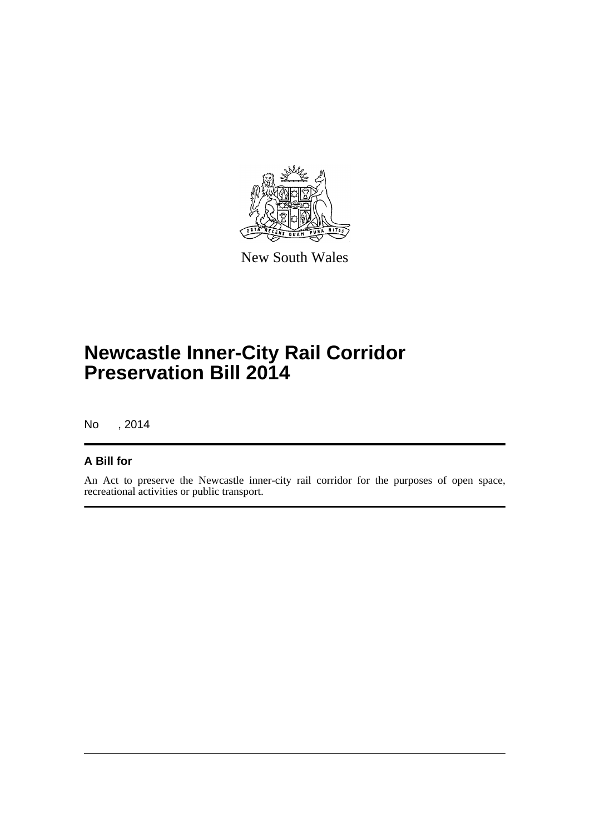

New South Wales

## **Newcastle Inner-City Rail Corridor Preservation Bill 2014**

No , 2014

#### **A Bill for**

An Act to preserve the Newcastle inner-city rail corridor for the purposes of open space, recreational activities or public transport.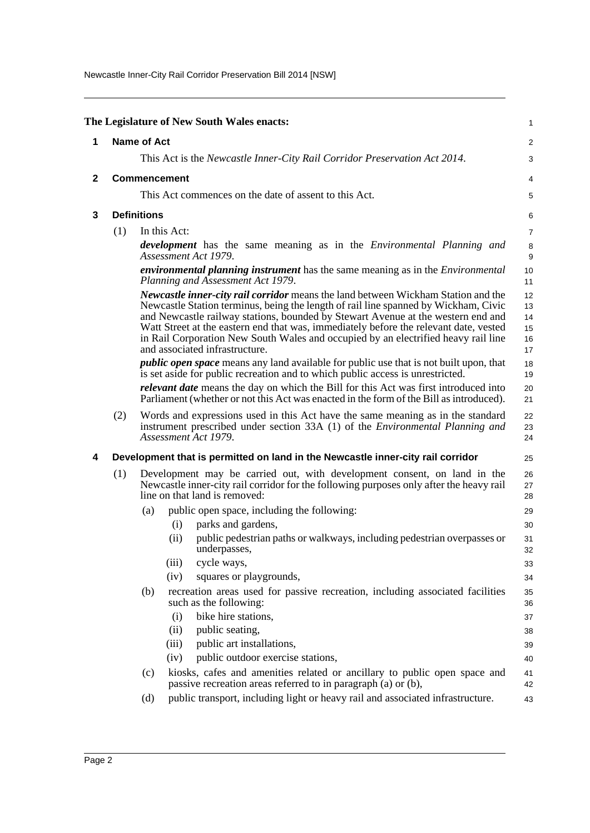Newcastle Inner-City Rail Corridor Preservation Bill 2014 [NSW]

<span id="page-4-3"></span><span id="page-4-2"></span><span id="page-4-1"></span><span id="page-4-0"></span>

| The Legislature of New South Wales enacts: |                                                                                                                                                                                                             |     |                                                                                                                                                                                                                                                                                                                                                                                                                                                                               |                                  |  |  |
|--------------------------------------------|-------------------------------------------------------------------------------------------------------------------------------------------------------------------------------------------------------------|-----|-------------------------------------------------------------------------------------------------------------------------------------------------------------------------------------------------------------------------------------------------------------------------------------------------------------------------------------------------------------------------------------------------------------------------------------------------------------------------------|----------------------------------|--|--|
| 1                                          | <b>Name of Act</b>                                                                                                                                                                                          |     |                                                                                                                                                                                                                                                                                                                                                                                                                                                                               |                                  |  |  |
|                                            |                                                                                                                                                                                                             |     | This Act is the Newcastle Inner-City Rail Corridor Preservation Act 2014.                                                                                                                                                                                                                                                                                                                                                                                                     | 3                                |  |  |
| $\mathbf 2$                                |                                                                                                                                                                                                             |     | <b>Commencement</b>                                                                                                                                                                                                                                                                                                                                                                                                                                                           | 4                                |  |  |
|                                            |                                                                                                                                                                                                             |     | This Act commences on the date of assent to this Act.                                                                                                                                                                                                                                                                                                                                                                                                                         | 5                                |  |  |
| 3                                          | <b>Definitions</b>                                                                                                                                                                                          |     | 6                                                                                                                                                                                                                                                                                                                                                                                                                                                                             |                                  |  |  |
|                                            | (1)                                                                                                                                                                                                         |     | In this Act:                                                                                                                                                                                                                                                                                                                                                                                                                                                                  | 7                                |  |  |
|                                            |                                                                                                                                                                                                             |     | <b>development</b> has the same meaning as in the <i>Environmental Planning and</i><br>Assessment Act 1979.                                                                                                                                                                                                                                                                                                                                                                   | 8<br>$\boldsymbol{9}$            |  |  |
|                                            |                                                                                                                                                                                                             |     | <i>environmental planning instrument</i> has the same meaning as in the <i>Environmental</i><br>Planning and Assessment Act 1979.                                                                                                                                                                                                                                                                                                                                             | 10<br>11                         |  |  |
|                                            |                                                                                                                                                                                                             |     | Newcastle inner-city rail corridor means the land between Wickham Station and the<br>Newcastle Station terminus, being the length of rail line spanned by Wickham, Civic<br>and Newcastle railway stations, bounded by Stewart Avenue at the western end and<br>Watt Street at the eastern end that was, immediately before the relevant date, vested<br>in Rail Corporation New South Wales and occupied by an electrified heavy rail line<br>and associated infrastructure. | 12<br>13<br>14<br>15<br>16<br>17 |  |  |
|                                            |                                                                                                                                                                                                             |     | <i>public open space</i> means any land available for public use that is not built upon, that<br>is set aside for public recreation and to which public access is unrestricted.                                                                                                                                                                                                                                                                                               | 18<br>19                         |  |  |
|                                            |                                                                                                                                                                                                             |     | <i>relevant date</i> means the day on which the Bill for this Act was first introduced into<br>Parliament (whether or not this Act was enacted in the form of the Bill as introduced).                                                                                                                                                                                                                                                                                        | 20<br>21                         |  |  |
|                                            | (2)                                                                                                                                                                                                         |     | Words and expressions used in this Act have the same meaning as in the standard<br>instrument prescribed under section 33A (1) of the <i>Environmental Planning and</i><br>Assessment Act 1979.                                                                                                                                                                                                                                                                               | 22<br>23<br>24                   |  |  |
| 4                                          |                                                                                                                                                                                                             |     | Development that is permitted on land in the Newcastle inner-city rail corridor                                                                                                                                                                                                                                                                                                                                                                                               | 25                               |  |  |
|                                            | Development may be carried out, with development consent, on land in the<br>(1)<br>Newcastle inner-city rail corridor for the following purposes only after the heavy rail<br>line on that land is removed: |     |                                                                                                                                                                                                                                                                                                                                                                                                                                                                               |                                  |  |  |
|                                            |                                                                                                                                                                                                             | (a) | public open space, including the following:                                                                                                                                                                                                                                                                                                                                                                                                                                   | 29                               |  |  |
|                                            |                                                                                                                                                                                                             |     | parks and gardens,<br>(i)                                                                                                                                                                                                                                                                                                                                                                                                                                                     | 30                               |  |  |
|                                            |                                                                                                                                                                                                             |     | (ii)<br>public pedestrian paths or walkways, including pedestrian overpasses or<br>underpasses,                                                                                                                                                                                                                                                                                                                                                                               | 31<br>32                         |  |  |
|                                            |                                                                                                                                                                                                             |     | (iii)<br>cycle ways,                                                                                                                                                                                                                                                                                                                                                                                                                                                          | 33                               |  |  |
|                                            |                                                                                                                                                                                                             |     | squares or playgrounds,<br>(iv)                                                                                                                                                                                                                                                                                                                                                                                                                                               | 34                               |  |  |
|                                            |                                                                                                                                                                                                             | (b) | recreation areas used for passive recreation, including associated facilities<br>such as the following:                                                                                                                                                                                                                                                                                                                                                                       | 35<br>36                         |  |  |
|                                            |                                                                                                                                                                                                             |     | bike hire stations,<br>(i)                                                                                                                                                                                                                                                                                                                                                                                                                                                    | 37                               |  |  |
|                                            |                                                                                                                                                                                                             |     | public seating,<br>(ii)                                                                                                                                                                                                                                                                                                                                                                                                                                                       | 38                               |  |  |
|                                            |                                                                                                                                                                                                             |     | public art installations,<br>(iii)                                                                                                                                                                                                                                                                                                                                                                                                                                            | 39                               |  |  |
|                                            |                                                                                                                                                                                                             |     | public outdoor exercise stations,<br>(iv)                                                                                                                                                                                                                                                                                                                                                                                                                                     | 40                               |  |  |
|                                            |                                                                                                                                                                                                             | (c) | kiosks, cafes and amenities related or ancillary to public open space and<br>passive recreation areas referred to in paragraph (a) or (b),                                                                                                                                                                                                                                                                                                                                    | 41<br>42                         |  |  |
|                                            |                                                                                                                                                                                                             | (d) | public transport, including light or heavy rail and associated infrastructure.                                                                                                                                                                                                                                                                                                                                                                                                | 43                               |  |  |